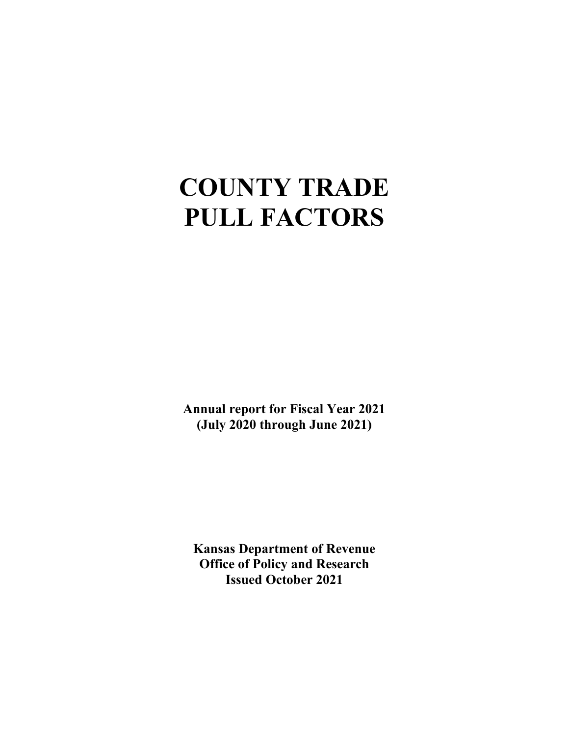# **COUNTY TRADE PULL FACTORS**

**Annual report for Fiscal Year 2021 (July 2020 through June 2021)**

**Kansas Department of Revenue Office of Policy and Research Issued October 2021**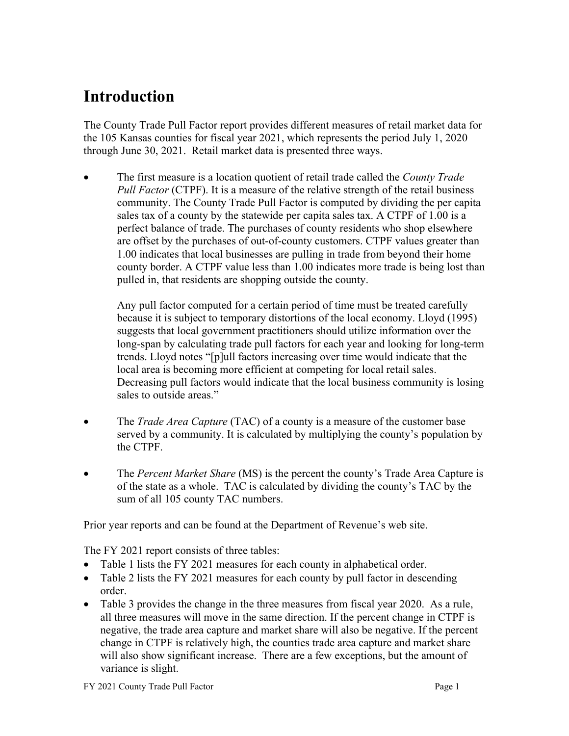### **Introduction**

The County Trade Pull Factor report provides different measures of retail market data for the 105 Kansas counties for fiscal year 2021, which represents the period July 1, 2020 through June 30, 2021. Retail market data is presented three ways.

• The first measure is a location quotient of retail trade called the *County Trade Pull Factor* (CTPF). It is a measure of the relative strength of the retail business community. The County Trade Pull Factor is computed by dividing the per capita sales tax of a county by the statewide per capita sales tax. A CTPF of 1.00 is a perfect balance of trade. The purchases of county residents who shop elsewhere are offset by the purchases of out-of-county customers. CTPF values greater than 1.00 indicates that local businesses are pulling in trade from beyond their home county border. A CTPF value less than 1.00 indicates more trade is being lost than pulled in, that residents are shopping outside the county.

Any pull factor computed for a certain period of time must be treated carefully because it is subject to temporary distortions of the local economy. Lloyd (1995) suggests that local government practitioners should utilize information over the long-span by calculating trade pull factors for each year and looking for long-term trends. Lloyd notes "[p]ull factors increasing over time would indicate that the local area is becoming more efficient at competing for local retail sales. Decreasing pull factors would indicate that the local business community is losing sales to outside areas."

- The *Trade Area Capture* (TAC) of a county is a measure of the customer base served by a community. It is calculated by multiplying the county's population by the CTPF.
- The *Percent Market Share* (MS) is the percent the county's Trade Area Capture is of the state as a whole. TAC is calculated by dividing the county's TAC by the sum of all 105 county TAC numbers.

Prior year reports and can be found at the Department of Revenue's web site.

The FY 2021 report consists of three tables:

- Table 1 lists the FY 2021 measures for each county in alphabetical order.
- Table 2 lists the FY 2021 measures for each county by pull factor in descending order.
- Table 3 provides the change in the three measures from fiscal year 2020. As a rule, all three measures will move in the same direction. If the percent change in CTPF is negative, the trade area capture and market share will also be negative. If the percent change in CTPF is relatively high, the counties trade area capture and market share will also show significant increase. There are a few exceptions, but the amount of variance is slight.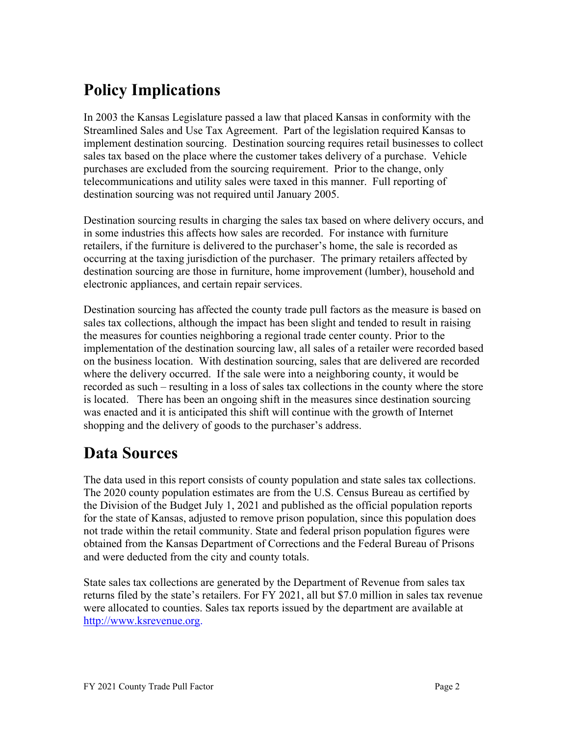## **Policy Implications**

In 2003 the Kansas Legislature passed a law that placed Kansas in conformity with the Streamlined Sales and Use Tax Agreement. Part of the legislation required Kansas to implement destination sourcing. Destination sourcing requires retail businesses to collect sales tax based on the place where the customer takes delivery of a purchase. Vehicle purchases are excluded from the sourcing requirement. Prior to the change, only telecommunications and utility sales were taxed in this manner. Full reporting of destination sourcing was not required until January 2005.

Destination sourcing results in charging the sales tax based on where delivery occurs, and in some industries this affects how sales are recorded. For instance with furniture retailers, if the furniture is delivered to the purchaser's home, the sale is recorded as occurring at the taxing jurisdiction of the purchaser. The primary retailers affected by destination sourcing are those in furniture, home improvement (lumber), household and electronic appliances, and certain repair services.

Destination sourcing has affected the county trade pull factors as the measure is based on sales tax collections, although the impact has been slight and tended to result in raising the measures for counties neighboring a regional trade center county. Prior to the implementation of the destination sourcing law, all sales of a retailer were recorded based on the business location. With destination sourcing, sales that are delivered are recorded where the delivery occurred. If the sale were into a neighboring county, it would be recorded as such – resulting in a loss of sales tax collections in the county where the store is located. There has been an ongoing shift in the measures since destination sourcing was enacted and it is anticipated this shift will continue with the growth of Internet shopping and the delivery of goods to the purchaser's address.

### **Data Sources**

The data used in this report consists of county population and state sales tax collections. The 2020 county population estimates are from the U.S. Census Bureau as certified by the Division of the Budget July 1, 2021 and published as the official population reports for the state of Kansas, adjusted to remove prison population, since this population does not trade within the retail community. State and federal prison population figures were obtained from the Kansas Department of Corrections and the Federal Bureau of Prisons and were deducted from the city and county totals.

State sales tax collections are generated by the Department of Revenue from sales tax returns filed by the state's retailers. For FY 2021, all but \$7.0 million in sales tax revenue were allocated to counties. Sales tax reports issued by the department are available at [http://www.ksrevenue.org.](http://www.ksrevenue.org/)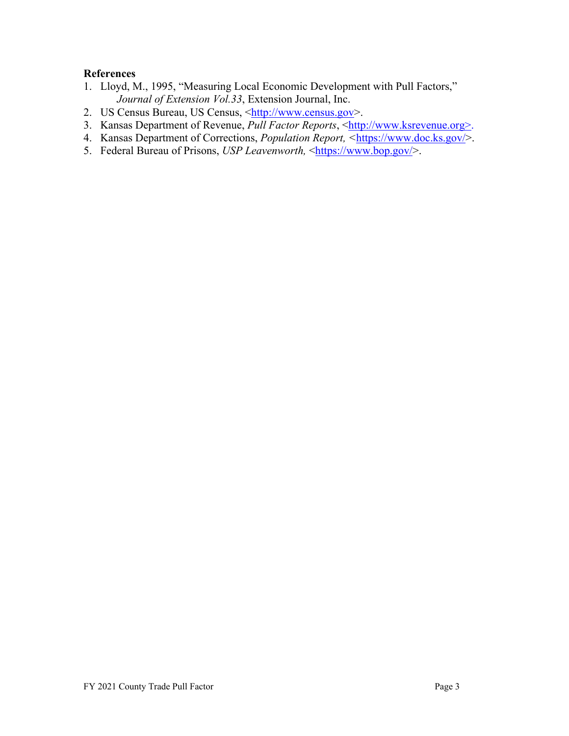#### **References**

- 1. Lloyd, M., 1995, "Measuring Local Economic Development with Pull Factors," *Journal of Extension Vol.33*, Extension Journal, Inc.
- 2. US Census Bureau, US Census, [<http://www.census.gov>](http://www.census.gov/).
- 3. Kansas Department of Revenue, *Pull Factor Reports*, [<http://www.ksrevenue.org>](http://www.ksrevenue.org/).
- 4. Kansas Department of Corrections, *Population Report, <*[https://www.doc.ks.gov/>](https://www.doc.ks.gov/).
- 5. Federal Bureau of Prisons, *USP Leavenworth,* [<https://www.bop.gov/>](https://www.bop.gov/).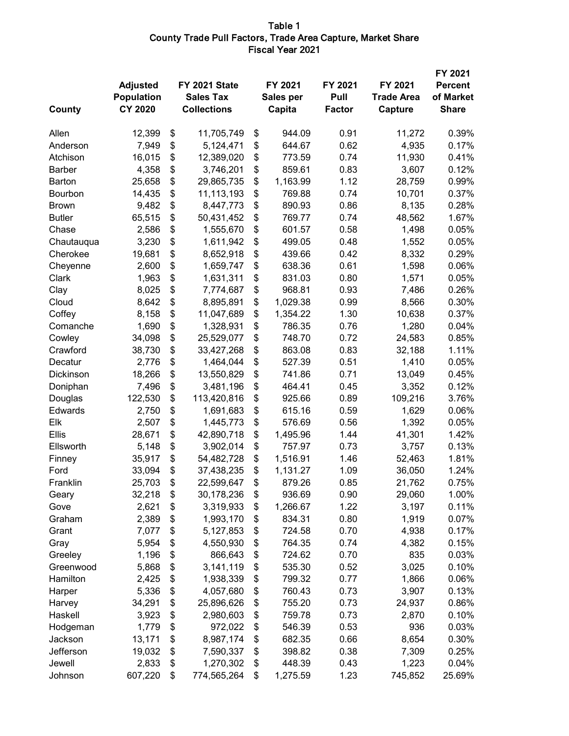#### Table 1 County Trade Pull Factors, Trade Area Capture, Market Share Fiscal Year 2021

| County        | <b>Adjusted</b><br><b>Population</b><br><b>CY 2020</b> | FY 2021 State<br><b>Sales Tax</b><br><b>Collections</b> | FY 2021<br>Sales per<br>Capita | FY 2021<br>Pull<br><b>Factor</b> | FY 2021<br><b>Trade Area</b><br>Capture | FY 2021<br><b>Percent</b><br>of Market<br><b>Share</b> |
|---------------|--------------------------------------------------------|---------------------------------------------------------|--------------------------------|----------------------------------|-----------------------------------------|--------------------------------------------------------|
| Allen         | 12,399                                                 | \$<br>11,705,749                                        | \$<br>944.09                   | 0.91                             | 11,272                                  | 0.39%                                                  |
| Anderson      | 7,949                                                  | \$<br>5,124,471                                         | \$<br>644.67                   | 0.62                             | 4,935                                   | 0.17%                                                  |
| Atchison      | 16,015                                                 | \$<br>12,389,020                                        | \$<br>773.59                   | 0.74                             | 11,930                                  | 0.41%                                                  |
| <b>Barber</b> | 4,358                                                  | \$<br>3,746,201                                         | \$<br>859.61                   | 0.83                             | 3,607                                   | 0.12%                                                  |
| Barton        | 25,658                                                 | \$<br>29,865,735                                        | \$<br>1,163.99                 | 1.12                             | 28,759                                  | 0.99%                                                  |
| Bourbon       | 14,435                                                 | \$<br>11,113,193                                        | \$<br>769.88                   | 0.74                             | 10,701                                  | 0.37%                                                  |
| <b>Brown</b>  | 9,482                                                  | \$<br>8,447,773                                         | \$<br>890.93                   | 0.86                             | 8,135                                   | 0.28%                                                  |
| <b>Butler</b> | 65,515                                                 | \$<br>50,431,452                                        | \$<br>769.77                   | 0.74                             | 48,562                                  | 1.67%                                                  |
| Chase         | 2,586                                                  | \$<br>1,555,670                                         | \$<br>601.57                   | 0.58                             | 1,498                                   | 0.05%                                                  |
| Chautauqua    | 3,230                                                  | \$<br>1,611,942                                         | \$<br>499.05                   | 0.48                             | 1,552                                   | 0.05%                                                  |
| Cherokee      | 19,681                                                 | \$<br>8,652,918                                         | \$<br>439.66                   | 0.42                             | 8,332                                   | 0.29%                                                  |
| Cheyenne      | 2,600                                                  | \$<br>1,659,747                                         | \$<br>638.36                   | 0.61                             | 1,598                                   | 0.06%                                                  |
| Clark         | 1,963                                                  | \$<br>1,631,311                                         | \$<br>831.03                   | 0.80                             | 1,571                                   | 0.05%                                                  |
| Clay          | 8,025                                                  | \$<br>7,774,687                                         | \$<br>968.81                   | 0.93                             | 7,486                                   | 0.26%                                                  |
| Cloud         | 8,642                                                  | \$<br>8,895,891                                         | \$<br>1,029.38                 | 0.99                             | 8,566                                   | 0.30%                                                  |
| Coffey        | 8,158                                                  | \$<br>11,047,689                                        | \$<br>1,354.22                 | 1.30                             | 10,638                                  | 0.37%                                                  |
| Comanche      | 1,690                                                  | \$<br>1,328,931                                         | \$<br>786.35                   | 0.76                             | 1,280                                   | 0.04%                                                  |
| Cowley        | 34,098                                                 | \$<br>25,529,077                                        | \$<br>748.70                   | 0.72                             | 24,583                                  | 0.85%                                                  |
| Crawford      | 38,730                                                 | \$<br>33,427,268                                        | \$<br>863.08                   | 0.83                             | 32,188                                  | 1.11%                                                  |
| Decatur       | 2,776                                                  | \$<br>1,464,044                                         | \$<br>527.39                   | 0.51                             | 1,410                                   | 0.05%                                                  |
| Dickinson     | 18,266                                                 | \$<br>13,550,829                                        | \$<br>741.86                   | 0.71                             | 13,049                                  | 0.45%                                                  |
| Doniphan      | 7,496                                                  | \$<br>3,481,196                                         | \$<br>464.41                   | 0.45                             | 3,352                                   | 0.12%                                                  |
| Douglas       | 122,530                                                | \$<br>113,420,816                                       | \$<br>925.66                   | 0.89                             | 109,216                                 | 3.76%                                                  |
| Edwards       | 2,750                                                  | \$<br>1,691,683                                         | \$<br>615.16                   | 0.59                             | 1,629                                   | 0.06%                                                  |
| Elk           | 2,507                                                  | \$<br>1,445,773                                         | \$<br>576.69                   | 0.56                             | 1,392                                   | 0.05%                                                  |
| Ellis         | 28,671                                                 | \$<br>42,890,718                                        | \$<br>1,495.96                 | 1.44                             | 41,301                                  | 1.42%                                                  |
| Ellsworth     | 5,148                                                  | \$<br>3,902,014                                         | \$<br>757.97                   | 0.73                             | 3,757                                   | 0.13%                                                  |
| Finney        | 35,917                                                 | \$<br>54,482,728                                        | \$<br>1,516.91                 | 1.46                             | 52,463                                  | 1.81%                                                  |
| Ford          | 33,094                                                 | \$<br>37,438,235                                        | \$<br>1,131.27                 | 1.09                             | 36,050                                  | 1.24%                                                  |
| Franklin      | 25,703                                                 | \$<br>22,599,647                                        | \$<br>879.26                   | 0.85                             | 21,762                                  | 0.75%                                                  |
| Geary         | 32,218                                                 | \$<br>30,178,236                                        | \$<br>936.69                   | 0.90                             | 29,060                                  | 1.00%                                                  |
| Gove          | 2,621                                                  | \$<br>3,319,933                                         | \$<br>1,266.67                 | 1.22                             | 3,197                                   | 0.11%                                                  |
| Graham        | 2,389                                                  | \$<br>1,993,170                                         | \$<br>834.31                   | 0.80                             | 1,919                                   | 0.07%                                                  |
| Grant         | 7,077                                                  | \$<br>5,127,853                                         | \$<br>724.58                   | 0.70                             | 4,938                                   | 0.17%                                                  |
| Gray          | 5,954                                                  | \$<br>4,550,930                                         | \$<br>764.35                   | 0.74                             | 4,382                                   | 0.15%                                                  |
| Greeley       | 1,196                                                  | \$<br>866,643                                           | \$<br>724.62                   | 0.70                             | 835                                     | 0.03%                                                  |
| Greenwood     | 5,868                                                  | \$<br>3,141,119                                         | \$<br>535.30                   | 0.52                             | 3,025                                   | 0.10%                                                  |
| Hamilton      | 2,425                                                  | \$<br>1,938,339                                         | \$<br>799.32                   | 0.77                             | 1,866                                   | 0.06%                                                  |
| Harper        | 5,336                                                  | \$<br>4,057,680                                         | \$<br>760.43                   | 0.73                             | 3,907                                   | 0.13%                                                  |
| Harvey        | 34,291                                                 | \$<br>25,896,626                                        | \$<br>755.20                   | 0.73                             | 24,937                                  | 0.86%                                                  |
| Haskell       | 3,923                                                  | \$<br>2,980,603                                         | \$<br>759.78                   | 0.73                             | 2,870                                   | 0.10%                                                  |
| Hodgeman      | 1,779                                                  | \$<br>972,022                                           | \$<br>546.39                   | 0.53                             | 936                                     | 0.03%                                                  |
| Jackson       | 13,171                                                 | \$<br>8,987,174                                         | \$<br>682.35                   | 0.66                             | 8,654                                   | 0.30%                                                  |
| Jefferson     | 19,032                                                 | \$<br>7,590,337                                         | \$<br>398.82                   | 0.38                             | 7,309                                   | 0.25%                                                  |
| Jewell        | 2,833                                                  | \$<br>1,270,302                                         | \$<br>448.39                   | 0.43                             | 1,223                                   | 0.04%                                                  |
| Johnson       | 607,220                                                | \$<br>774,565,264                                       | \$<br>1,275.59                 | 1.23                             | 745,852                                 | 25.69%                                                 |
|               |                                                        |                                                         |                                |                                  |                                         |                                                        |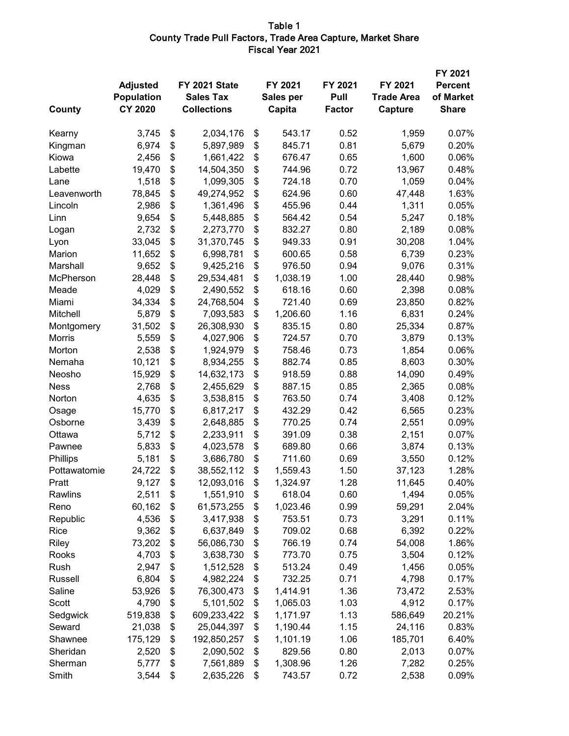#### Table 1 County Trade Pull Factors, Trade Area Capture, Market Share Fiscal Year 2021

| County        | <b>Adjusted</b><br><b>Population</b><br><b>CY 2020</b> | FY 2021 State<br><b>Sales Tax</b><br><b>Collections</b> | FY 2021<br>Sales per<br>Capita | FY 2021<br>Pull<br><b>Factor</b> | FY 2021<br><b>Trade Area</b><br>Capture | FY 2021<br><b>Percent</b><br>of Market<br><b>Share</b> |
|---------------|--------------------------------------------------------|---------------------------------------------------------|--------------------------------|----------------------------------|-----------------------------------------|--------------------------------------------------------|
| Kearny        | 3,745                                                  | \$<br>2,034,176                                         | \$<br>543.17                   | 0.52                             | 1,959                                   | 0.07%                                                  |
| Kingman       | 6,974                                                  | \$<br>5,897,989                                         | \$<br>845.71                   | 0.81                             | 5,679                                   | 0.20%                                                  |
| Kiowa         | 2,456                                                  | \$<br>1,661,422                                         | \$<br>676.47                   | 0.65                             | 1,600                                   | 0.06%                                                  |
| Labette       | 19,470                                                 | \$<br>14,504,350                                        | \$<br>744.96                   | 0.72                             | 13,967                                  | 0.48%                                                  |
| Lane          | 1,518                                                  | \$<br>1,099,305                                         | \$<br>724.18                   | 0.70                             | 1,059                                   | 0.04%                                                  |
| Leavenworth   | 78,845                                                 | \$<br>49,274,952                                        | \$<br>624.96                   | 0.60                             | 47,448                                  | 1.63%                                                  |
| Lincoln       | 2,986                                                  | \$<br>1,361,496                                         | \$<br>455.96                   | 0.44                             | 1,311                                   | 0.05%                                                  |
| Linn          | 9,654                                                  | \$<br>5,448,885                                         | \$<br>564.42                   | 0.54                             | 5,247                                   | 0.18%                                                  |
| Logan         | 2,732                                                  | \$<br>2,273,770                                         | \$<br>832.27                   | 0.80                             | 2,189                                   | 0.08%                                                  |
| Lyon          | 33,045                                                 | \$<br>31,370,745                                        | \$<br>949.33                   | 0.91                             | 30,208                                  | 1.04%                                                  |
| Marion        | 11,652                                                 | \$<br>6,998,781                                         | \$<br>600.65                   | 0.58                             | 6,739                                   | 0.23%                                                  |
| Marshall      | 9,652                                                  | \$<br>9,425,216                                         | \$<br>976.50                   | 0.94                             | 9,076                                   | 0.31%                                                  |
| McPherson     | 28,448                                                 | \$<br>29,534,481                                        | \$<br>1,038.19                 | 1.00                             | 28,440                                  | 0.98%                                                  |
| Meade         | 4,029                                                  | \$<br>2,490,552                                         | \$<br>618.16                   | 0.60                             | 2,398                                   | 0.08%                                                  |
| Miami         | 34,334                                                 | \$<br>24,768,504                                        | \$<br>721.40                   | 0.69                             | 23,850                                  | 0.82%                                                  |
| Mitchell      | 5,879                                                  | \$<br>7,093,583                                         | \$<br>1,206.60                 | 1.16                             | 6,831                                   | 0.24%                                                  |
| Montgomery    | 31,502                                                 | \$<br>26,308,930                                        | \$<br>835.15                   | 0.80                             | 25,334                                  | 0.87%                                                  |
| <b>Morris</b> | 5,559                                                  | \$<br>4,027,906                                         | \$<br>724.57                   | 0.70                             | 3,879                                   | 0.13%                                                  |
| Morton        | 2,538                                                  | \$<br>1,924,979                                         | \$<br>758.46                   | 0.73                             | 1,854                                   | 0.06%                                                  |
| Nemaha        | 10,121                                                 | \$<br>8,934,255                                         | \$<br>882.74                   | 0.85                             | 8,603                                   | 0.30%                                                  |
| Neosho        | 15,929                                                 | \$<br>14,632,173                                        | \$<br>918.59                   | 0.88                             | 14,090                                  | 0.49%                                                  |
| <b>Ness</b>   | 2,768                                                  | \$<br>2,455,629                                         | \$<br>887.15                   | 0.85                             | 2,365                                   | 0.08%                                                  |
| Norton        | 4,635                                                  | \$<br>3,538,815                                         | \$<br>763.50                   | 0.74                             | 3,408                                   | 0.12%                                                  |
| Osage         | 15,770                                                 | \$<br>6,817,217                                         | \$<br>432.29                   | 0.42                             | 6,565                                   | 0.23%                                                  |
| Osborne       | 3,439                                                  | \$<br>2,648,885                                         | \$<br>770.25                   | 0.74                             | 2,551                                   | 0.09%                                                  |
| Ottawa        | 5,712                                                  | \$<br>2,233,911                                         | \$<br>391.09                   | 0.38                             | 2,151                                   | 0.07%                                                  |
| Pawnee        | 5,833                                                  | \$<br>4,023,578                                         | \$<br>689.80                   | 0.66                             | 3,874                                   | 0.13%                                                  |
| Phillips      | 5,181                                                  | \$<br>3,686,780                                         | \$<br>711.60                   | 0.69                             | 3,550                                   | 0.12%                                                  |
| Pottawatomie  | 24,722                                                 | \$<br>38,552,112                                        | \$<br>1,559.43                 | 1.50                             | 37,123                                  | 1.28%                                                  |
| Pratt         | 9,127                                                  | \$<br>12,093,016                                        | \$<br>1,324.97                 | 1.28                             | 11,645                                  | 0.40%                                                  |
| Rawlins       | 2,511                                                  | \$<br>1,551,910                                         | \$<br>618.04                   | 0.60                             | 1,494                                   | 0.05%                                                  |
| Reno          | 60,162                                                 | \$<br>61,573,255                                        | \$<br>1,023.46                 | 0.99                             | 59,291                                  | 2.04%                                                  |
| Republic      | 4,536                                                  | \$<br>3,417,938                                         | \$<br>753.51                   | 0.73                             | 3,291                                   | 0.11%                                                  |
| Rice          | 9,362                                                  | \$<br>6,637,849                                         | \$<br>709.02                   | 0.68                             | 6,392                                   | 0.22%                                                  |
| Riley         | 73,202                                                 | \$<br>56,086,730                                        | \$<br>766.19                   | 0.74                             | 54,008                                  | 1.86%                                                  |
| Rooks         | 4,703                                                  | \$<br>3,638,730                                         | \$<br>773.70                   | 0.75                             | 3,504                                   | 0.12%                                                  |
| Rush          | 2,947                                                  | \$<br>1,512,528                                         | \$<br>513.24                   | 0.49                             | 1,456                                   | 0.05%                                                  |
| Russell       | 6,804                                                  | \$<br>4,982,224                                         | \$<br>732.25                   | 0.71                             | 4,798                                   | 0.17%                                                  |
| Saline        | 53,926                                                 | \$<br>76,300,473                                        | \$<br>1,414.91                 | 1.36                             | 73,472                                  | 2.53%                                                  |
| Scott         | 4,790                                                  | \$<br>5,101,502                                         | \$<br>1,065.03                 | 1.03                             | 4,912                                   | 0.17%                                                  |
| Sedgwick      | 519,838                                                | \$<br>609,233,422                                       | \$<br>1,171.97                 | 1.13                             | 586,649                                 | 20.21%                                                 |
| Seward        | 21,038                                                 | \$<br>25,044,397                                        | \$<br>1,190.44                 | 1.15                             | 24,116                                  | 0.83%                                                  |
| Shawnee       | 175,129                                                | \$<br>192,850,257                                       | \$<br>1,101.19                 | 1.06                             | 185,701                                 | 6.40%                                                  |
| Sheridan      | 2,520                                                  | \$<br>2,090,502                                         | \$<br>829.56                   | 0.80                             | 2,013                                   | 0.07%                                                  |
| Sherman       | 5,777                                                  | \$<br>7,561,889                                         | \$<br>1,308.96                 | 1.26                             | 7,282                                   | 0.25%                                                  |
| Smith         | 3,544                                                  | \$<br>2,635,226                                         | \$<br>743.57                   | 0.72                             | 2,538                                   | 0.09%                                                  |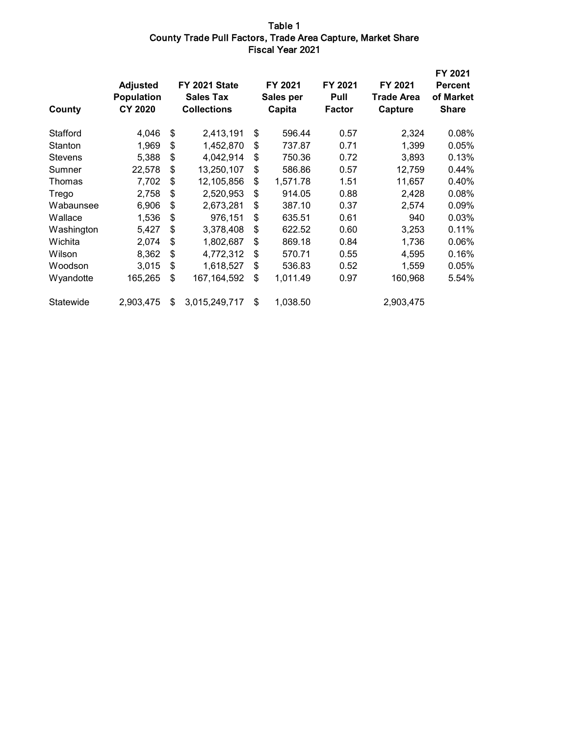#### Table 1 County Trade Pull Factors, Trade Area Capture, Market Share Fiscal Year 2021

| County         | <b>Adjusted</b><br><b>Population</b><br><b>CY 2020</b> | FY 2021 State<br><b>Sales Tax</b><br><b>Collections</b> | FY 2021<br>Sales per<br>Capita | FY 2021<br>Pull<br><b>Factor</b> | FY 2021<br><b>Trade Area</b><br>Capture | FY 2021<br><b>Percent</b><br>of Market<br><b>Share</b> |
|----------------|--------------------------------------------------------|---------------------------------------------------------|--------------------------------|----------------------------------|-----------------------------------------|--------------------------------------------------------|
| Stafford       | 4,046                                                  | \$<br>2,413,191                                         | \$<br>596.44                   | 0.57                             | 2,324                                   | 0.08%                                                  |
| Stanton        | 1,969                                                  | \$<br>1,452,870                                         | \$<br>737.87                   | 0.71                             | 1,399                                   | 0.05%                                                  |
| <b>Stevens</b> | 5,388                                                  | \$<br>4,042,914                                         | \$<br>750.36                   | 0.72                             | 3,893                                   | 0.13%                                                  |
| Sumner         | 22,578                                                 | \$<br>13,250,107                                        | \$<br>586.86                   | 0.57                             | 12,759                                  | 0.44%                                                  |
| Thomas         | 7,702                                                  | \$<br>12,105,856                                        | \$<br>1,571.78                 | 1.51                             | 11,657                                  | 0.40%                                                  |
| Trego          | 2,758                                                  | \$<br>2,520,953                                         | \$<br>914.05                   | 0.88                             | 2,428                                   | 0.08%                                                  |
| Wabaunsee      | 6,906                                                  | \$<br>2,673,281                                         | \$<br>387.10                   | 0.37                             | 2,574                                   | 0.09%                                                  |
| Wallace        | 1,536                                                  | \$<br>976,151                                           | \$<br>635.51                   | 0.61                             | 940                                     | 0.03%                                                  |
| Washington     | 5,427                                                  | \$<br>3,378,408                                         | \$<br>622.52                   | 0.60                             | 3,253                                   | 0.11%                                                  |
| Wichita        | 2,074                                                  | \$<br>1,802,687                                         | \$<br>869.18                   | 0.84                             | 1,736                                   | 0.06%                                                  |
| Wilson         | 8,362                                                  | \$<br>4,772,312                                         | \$<br>570.71                   | 0.55                             | 4,595                                   | 0.16%                                                  |
| Woodson        | 3,015                                                  | \$<br>1,618,527                                         | \$<br>536.83                   | 0.52                             | 1,559                                   | 0.05%                                                  |
| Wyandotte      | 165,265                                                | \$<br>167, 164, 592                                     | \$<br>1,011.49                 | 0.97                             | 160,968                                 | 5.54%                                                  |
| Statewide      | 2,903,475                                              | \$<br>3,015,249,717                                     | \$<br>1,038.50                 |                                  | 2,903,475                               |                                                        |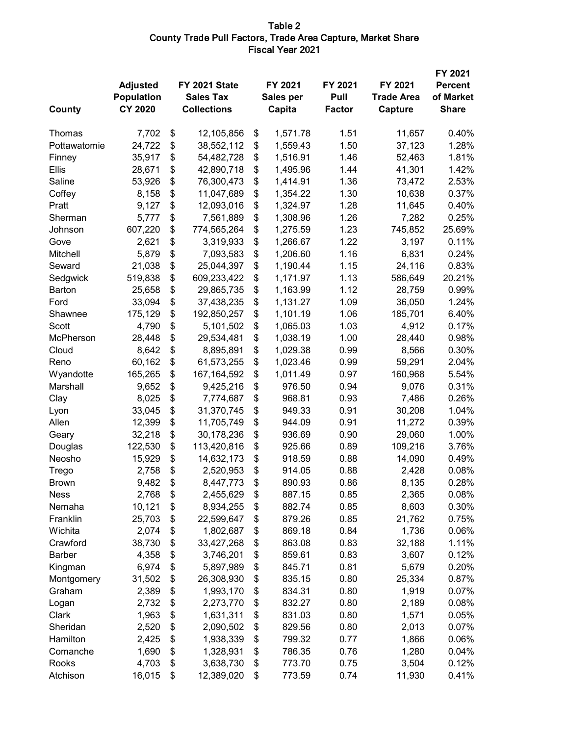#### Table 2 County Trade Pull Factors, Trade Area Capture, Market Share Fiscal Year 2021

|               |                 |                     |                |               |                   | FY 2021        |
|---------------|-----------------|---------------------|----------------|---------------|-------------------|----------------|
|               | <b>Adjusted</b> | FY 2021 State       | FY 2021        | FY 2021       | FY 2021           | <b>Percent</b> |
|               | Population      | <b>Sales Tax</b>    | Sales per      | Pull          | <b>Trade Area</b> | of Market      |
| County        | <b>CY 2020</b>  | <b>Collections</b>  | Capita         | <b>Factor</b> | Capture           | <b>Share</b>   |
| Thomas        | 7,702           | \$<br>12,105,856    | \$<br>1,571.78 | 1.51          | 11,657            | 0.40%          |
| Pottawatomie  | 24,722          | \$<br>38,552,112    | \$<br>1,559.43 | 1.50          | 37,123            | 1.28%          |
| Finney        | 35,917          | \$<br>54,482,728    | \$<br>1,516.91 | 1.46          | 52,463            | 1.81%          |
| Ellis         | 28,671          | \$<br>42,890,718    | \$<br>1,495.96 | 1.44          | 41,301            | 1.42%          |
| Saline        | 53,926          | \$<br>76,300,473    | \$<br>1,414.91 | 1.36          | 73,472            | 2.53%          |
| Coffey        | 8,158           | \$<br>11,047,689    | \$<br>1,354.22 | 1.30          | 10,638            | 0.37%          |
| Pratt         | 9,127           | \$<br>12,093,016    | \$<br>1,324.97 | 1.28          | 11,645            | 0.40%          |
| Sherman       | 5,777           | \$<br>7,561,889     | \$<br>1,308.96 | 1.26          | 7,282             | 0.25%          |
| Johnson       | 607,220         | \$<br>774,565,264   | \$<br>1,275.59 | 1.23          | 745,852           | 25.69%         |
| Gove          | 2,621           | \$<br>3,319,933     | \$<br>1,266.67 | 1.22          | 3,197             | 0.11%          |
| Mitchell      | 5,879           | \$<br>7,093,583     | \$<br>1,206.60 | 1.16          | 6,831             | 0.24%          |
| Seward        | 21,038          | \$<br>25,044,397    | \$<br>1,190.44 | 1.15          | 24,116            | 0.83%          |
| Sedgwick      | 519,838         | \$<br>609,233,422   | \$<br>1,171.97 | 1.13          | 586,649           | 20.21%         |
| Barton        | 25,658          | \$<br>29,865,735    | \$<br>1,163.99 | 1.12          | 28,759            | 0.99%          |
| Ford          | 33,094          | \$<br>37,438,235    | \$<br>1,131.27 | 1.09          | 36,050            | 1.24%          |
| Shawnee       | 175,129         | \$<br>192,850,257   | \$<br>1,101.19 | 1.06          | 185,701           | 6.40%          |
| Scott         | 4,790           | \$<br>5,101,502     | \$<br>1,065.03 | 1.03          | 4,912             | 0.17%          |
| McPherson     | 28,448          | \$<br>29,534,481    | \$<br>1,038.19 | 1.00          | 28,440            | 0.98%          |
| Cloud         | 8,642           | \$<br>8,895,891     | \$<br>1,029.38 | 0.99          | 8,566             | 0.30%          |
| Reno          | 60,162          | \$<br>61,573,255    | \$<br>1,023.46 | 0.99          | 59,291            | 2.04%          |
| Wyandotte     | 165,265         | \$<br>167, 164, 592 | \$<br>1,011.49 | 0.97          | 160,968           | 5.54%          |
| Marshall      | 9,652           | \$<br>9,425,216     | \$<br>976.50   | 0.94          | 9,076             | 0.31%          |
| Clay          | 8,025           | \$<br>7,774,687     | \$<br>968.81   | 0.93          | 7,486             | 0.26%          |
| Lyon          | 33,045          | \$<br>31,370,745    | \$<br>949.33   | 0.91          | 30,208            | 1.04%          |
| Allen         | 12,399          | \$<br>11,705,749    | \$<br>944.09   | 0.91          | 11,272            | 0.39%          |
| Geary         | 32,218          | \$<br>30,178,236    | \$<br>936.69   | 0.90          | 29,060            | 1.00%          |
| Douglas       | 122,530         | \$<br>113,420,816   | \$<br>925.66   | 0.89          | 109,216           | 3.76%          |
| Neosho        | 15,929          | \$<br>14,632,173    | \$<br>918.59   | 0.88          | 14,090            | 0.49%          |
| Trego         | 2,758           | \$<br>2,520,953     | \$<br>914.05   | 0.88          | 2,428             | 0.08%          |
| <b>Brown</b>  | 9,482           | \$<br>8,447,773     | \$<br>890.93   | 0.86          | 8,135             | 0.28%          |
| <b>Ness</b>   | 2,768           | \$<br>2,455,629     | \$<br>887.15   | 0.85          | 2,365             | 0.08%          |
| Nemaha        | 10,121          | \$<br>8,934,255     | \$<br>882.74   | 0.85          | 8,603             | 0.30%          |
| Franklin      | 25,703          | \$<br>22,599,647    | \$<br>879.26   | 0.85          | 21,762            | 0.75%          |
| Wichita       | 2,074           | \$<br>1,802,687     | \$<br>869.18   | 0.84          | 1,736             | 0.06%          |
| Crawford      | 38,730          | \$<br>33,427,268    | \$<br>863.08   | 0.83          | 32,188            | 1.11%          |
| <b>Barber</b> | 4,358           | \$<br>3,746,201     | \$<br>859.61   | 0.83          | 3,607             | 0.12%          |
| Kingman       | 6,974           | \$<br>5,897,989     | \$<br>845.71   | 0.81          | 5,679             | 0.20%          |
| Montgomery    | 31,502          | \$<br>26,308,930    | \$<br>835.15   | 0.80          | 25,334            | 0.87%          |
| Graham        | 2,389           | \$<br>1,993,170     | \$<br>834.31   | 0.80          | 1,919             | 0.07%          |
| Logan         | 2,732           | \$<br>2,273,770     | \$<br>832.27   | 0.80          | 2,189             | 0.08%          |
| Clark         | 1,963           | \$<br>1,631,311     | \$<br>831.03   | 0.80          | 1,571             | 0.05%          |
| Sheridan      | 2,520           | \$<br>2,090,502     | \$<br>829.56   | 0.80          | 2,013             | 0.07%          |
| Hamilton      | 2,425           | \$<br>1,938,339     | \$<br>799.32   | 0.77          | 1,866             | 0.06%          |
| Comanche      | 1,690           | \$<br>1,328,931     | \$<br>786.35   | 0.76          | 1,280             | 0.04%          |
| Rooks         | 4,703           | \$<br>3,638,730     | \$<br>773.70   | 0.75          | 3,504             | 0.12%          |
| Atchison      | 16,015          | \$<br>12,389,020    | \$<br>773.59   | 0.74          | 11,930            | 0.41%          |
|               |                 |                     |                |               |                   |                |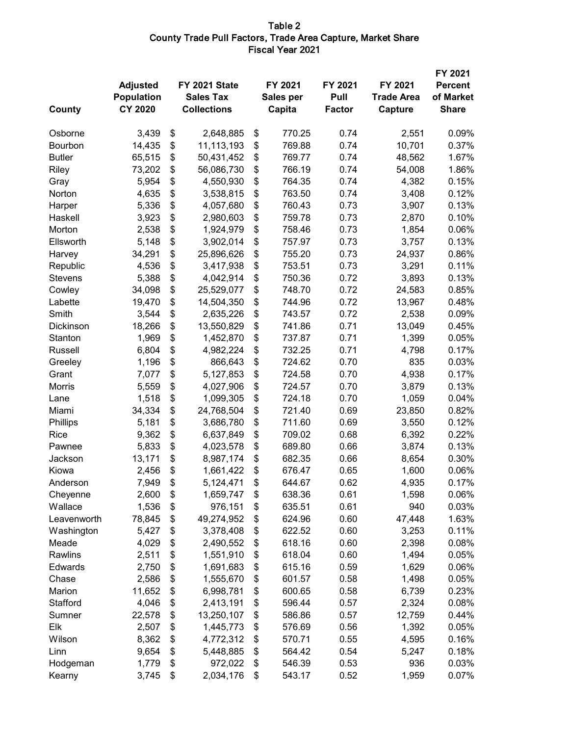#### Table 2 County Trade Pull Factors, Trade Area Capture, Market Share Fiscal Year 2021

| County         | <b>Adjusted</b><br><b>Population</b><br><b>CY 2020</b> | FY 2021 State<br><b>Sales Tax</b><br><b>Collections</b> | FY 2021<br>Sales per<br>Capita | FY 2021<br>Pull<br><b>Factor</b> | FY 2021<br><b>Trade Area</b><br>Capture | FY 2021<br><b>Percent</b><br>of Market<br><b>Share</b> |
|----------------|--------------------------------------------------------|---------------------------------------------------------|--------------------------------|----------------------------------|-----------------------------------------|--------------------------------------------------------|
| Osborne        | 3,439                                                  | \$<br>2,648,885                                         | \$<br>770.25                   | 0.74                             | 2,551                                   | 0.09%                                                  |
| Bourbon        | 14,435                                                 | \$<br>11,113,193                                        | \$<br>769.88                   | 0.74                             | 10,701                                  | 0.37%                                                  |
| <b>Butler</b>  | 65,515                                                 | \$<br>50,431,452                                        | \$<br>769.77                   | 0.74                             | 48,562                                  | 1.67%                                                  |
| Riley          | 73,202                                                 | \$<br>56,086,730                                        | \$<br>766.19                   | 0.74                             | 54,008                                  | 1.86%                                                  |
| Gray           | 5,954                                                  | \$<br>4,550,930                                         | \$<br>764.35                   | 0.74                             | 4,382                                   | 0.15%                                                  |
| Norton         | 4,635                                                  | \$<br>3,538,815                                         | \$<br>763.50                   | 0.74                             | 3,408                                   | 0.12%                                                  |
| Harper         | 5,336                                                  | \$<br>4,057,680                                         | \$<br>760.43                   | 0.73                             | 3,907                                   | 0.13%                                                  |
| Haskell        | 3,923                                                  | \$<br>2,980,603                                         | \$<br>759.78                   | 0.73                             | 2,870                                   | 0.10%                                                  |
| Morton         | 2,538                                                  | \$<br>1,924,979                                         | \$<br>758.46                   | 0.73                             | 1,854                                   | 0.06%                                                  |
| Ellsworth      | 5,148                                                  | \$<br>3,902,014                                         | \$<br>757.97                   | 0.73                             | 3,757                                   | 0.13%                                                  |
| Harvey         | 34,291                                                 | \$<br>25,896,626                                        | \$<br>755.20                   | 0.73                             | 24,937                                  | 0.86%                                                  |
| Republic       | 4,536                                                  | \$<br>3,417,938                                         | \$<br>753.51                   | 0.73                             | 3,291                                   | 0.11%                                                  |
| <b>Stevens</b> | 5,388                                                  | \$<br>4,042,914                                         | \$<br>750.36                   | 0.72                             | 3,893                                   | 0.13%                                                  |
| Cowley         | 34,098                                                 | \$<br>25,529,077                                        | \$<br>748.70                   | 0.72                             | 24,583                                  | 0.85%                                                  |
| Labette        | 19,470                                                 | \$<br>14,504,350                                        | \$<br>744.96                   | 0.72                             | 13,967                                  | 0.48%                                                  |
| Smith          | 3,544                                                  | \$<br>2,635,226                                         | \$<br>743.57                   | 0.72                             | 2,538                                   | 0.09%                                                  |
| Dickinson      | 18,266                                                 | \$<br>13,550,829                                        | \$<br>741.86                   | 0.71                             | 13,049                                  | 0.45%                                                  |
| Stanton        | 1,969                                                  | \$<br>1,452,870                                         | \$<br>737.87                   | 0.71                             | 1,399                                   | 0.05%                                                  |
| Russell        | 6,804                                                  | \$<br>4,982,224                                         | \$<br>732.25                   | 0.71                             | 4,798                                   | 0.17%                                                  |
| Greeley        | 1,196                                                  | \$<br>866,643                                           | \$<br>724.62                   | 0.70                             | 835                                     | 0.03%                                                  |
| Grant          | 7,077                                                  | \$<br>5,127,853                                         | \$<br>724.58                   | 0.70                             | 4,938                                   | 0.17%                                                  |
| Morris         | 5,559                                                  | \$<br>4,027,906                                         | \$<br>724.57                   | 0.70                             | 3,879                                   | 0.13%                                                  |
| Lane           | 1,518                                                  | \$<br>1,099,305                                         | \$<br>724.18                   | 0.70                             | 1,059                                   | 0.04%                                                  |
| Miami          | 34,334                                                 | \$<br>24,768,504                                        | \$<br>721.40                   | 0.69                             | 23,850                                  | 0.82%                                                  |
| Phillips       | 5,181                                                  | \$<br>3,686,780                                         | \$<br>711.60                   | 0.69                             | 3,550                                   | 0.12%                                                  |
| Rice           | 9,362                                                  | \$<br>6,637,849                                         | \$<br>709.02                   | 0.68                             | 6,392                                   | 0.22%                                                  |
| Pawnee         | 5,833                                                  | \$<br>4,023,578                                         | \$<br>689.80                   | 0.66                             | 3,874                                   | 0.13%                                                  |
| Jackson        | 13,171                                                 | \$<br>8,987,174                                         | \$<br>682.35                   | 0.66                             | 8,654                                   | 0.30%                                                  |
| Kiowa          | 2,456                                                  | \$<br>1,661,422                                         | \$<br>676.47                   | 0.65                             | 1,600                                   | 0.06%                                                  |
| Anderson       | 7,949                                                  | \$<br>5,124,471                                         | \$<br>644.67                   | 0.62                             | 4,935                                   | 0.17%                                                  |
| Cheyenne       | 2,600                                                  | \$<br>1,659,747                                         | \$<br>638.36                   | 0.61                             | 1,598                                   | 0.06%                                                  |
| Wallace        | 1,536                                                  | \$<br>976,151                                           | \$<br>635.51                   | 0.61                             | 940                                     | 0.03%                                                  |
| Leavenworth    | 78,845                                                 | \$<br>49,274,952                                        | \$<br>624.96                   | 0.60                             | 47,448                                  | 1.63%                                                  |
| Washington     | 5,427                                                  | \$<br>3,378,408                                         | \$<br>622.52                   | 0.60                             | 3,253                                   | 0.11%                                                  |
| Meade          | 4,029                                                  | \$<br>2,490,552                                         | \$<br>618.16                   | 0.60                             | 2,398                                   | 0.08%                                                  |
| Rawlins        | 2,511                                                  | \$<br>1,551,910                                         | \$<br>618.04                   | 0.60                             | 1,494                                   | 0.05%                                                  |
| Edwards        | 2,750                                                  | \$<br>1,691,683                                         | \$<br>615.16                   | 0.59                             | 1,629                                   | 0.06%                                                  |
| Chase          | 2,586                                                  | \$<br>1,555,670                                         | \$<br>601.57                   | 0.58                             | 1,498                                   | 0.05%                                                  |
| Marion         | 11,652                                                 | \$<br>6,998,781                                         | \$<br>600.65                   | 0.58                             | 6,739                                   | 0.23%                                                  |
| Stafford       | 4,046                                                  | \$<br>2,413,191                                         | \$<br>596.44                   | 0.57                             | 2,324                                   | 0.08%                                                  |
| Sumner         | 22,578                                                 | \$<br>13,250,107                                        | \$<br>586.86                   | 0.57                             | 12,759                                  | 0.44%                                                  |
| Elk            | 2,507                                                  | \$<br>1,445,773                                         | \$<br>576.69                   | 0.56                             | 1,392                                   | 0.05%                                                  |
| Wilson         | 8,362                                                  | \$<br>4,772,312                                         | \$<br>570.71                   | 0.55                             | 4,595                                   | 0.16%                                                  |
| Linn           | 9,654                                                  | \$<br>5,448,885                                         | \$<br>564.42                   | 0.54                             | 5,247                                   | 0.18%                                                  |
| Hodgeman       | 1,779                                                  | \$<br>972,022                                           | \$<br>546.39                   | 0.53                             | 936                                     | 0.03%                                                  |
| Kearny         | 3,745                                                  | \$<br>2,034,176                                         | \$<br>543.17                   | 0.52                             | 1,959                                   | 0.07%                                                  |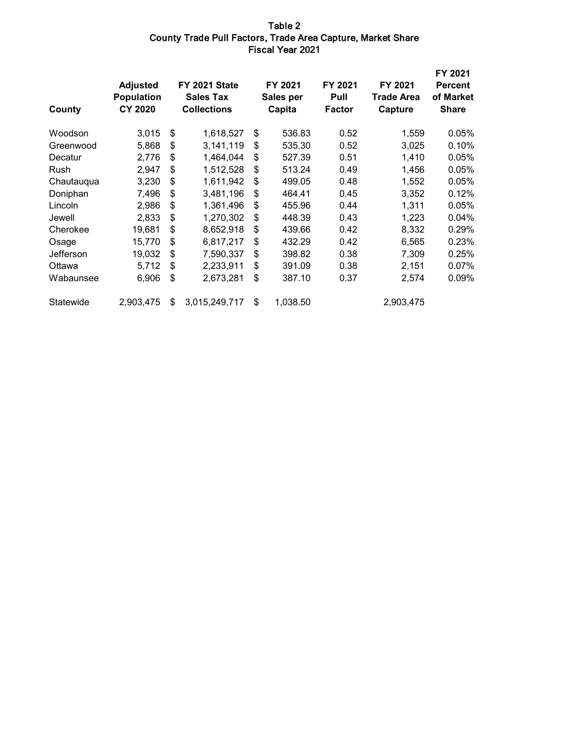#### Table 2 County Trade Pull Factors, Trade Area Capture, Market Share Fiscal Year 2021

| County      | <b>Adjusted</b><br><b>Population</b><br><b>CY 2020</b> | FY 2021 State<br><b>Sales Tax</b><br><b>Collections</b> | FY 2021<br>Sales per<br>Capita | FY 2021<br>Pull<br><b>Factor</b> | FY 2021<br><b>Trade Area</b><br>Capture | FY 2021<br><b>Percent</b><br>of Market<br><b>Share</b> |
|-------------|--------------------------------------------------------|---------------------------------------------------------|--------------------------------|----------------------------------|-----------------------------------------|--------------------------------------------------------|
| Woodson     | 3,015                                                  | \$<br>1,618,527                                         | \$<br>536.83                   | 0.52                             | 1,559                                   | 0.05%                                                  |
| Greenwood   | 5,868                                                  | \$<br>3,141,119                                         | \$<br>535.30                   | 0.52                             | 3,025                                   | 0.10%                                                  |
| Decatur     | 2,776                                                  | \$<br>1,464,044                                         | \$<br>527.39                   | 0.51                             | 1,410                                   | 0.05%                                                  |
| <b>Rush</b> | 2,947                                                  | \$<br>1,512,528                                         | \$<br>513.24                   | 0.49                             | 1,456                                   | 0.05%                                                  |
| Chautauqua  | 3,230                                                  | \$<br>1,611,942                                         | \$<br>499.05                   | 0.48                             | 1,552                                   | 0.05%                                                  |
| Doniphan    | 7,496                                                  | \$<br>3,481,196                                         | \$<br>464.41                   | 0.45                             | 3,352                                   | 0.12%                                                  |
| Lincoln     | 2,986                                                  | \$<br>1,361,496                                         | \$<br>455.96                   | 0.44                             | 1,311                                   | 0.05%                                                  |
| Jewell      | 2,833                                                  | \$<br>1,270,302                                         | \$<br>448.39                   | 0.43                             | 1,223                                   | 0.04%                                                  |
| Cherokee    | 19,681                                                 | \$<br>8,652,918                                         | \$<br>439.66                   | 0.42                             | 8,332                                   | 0.29%                                                  |
| Osage       | 15,770                                                 | \$<br>6,817,217                                         | \$<br>432.29                   | 0.42                             | 6,565                                   | 0.23%                                                  |
| Jefferson   | 19,032                                                 | \$<br>7,590,337                                         | \$<br>398.82                   | 0.38                             | 7,309                                   | 0.25%                                                  |
| Ottawa      | 5,712                                                  | \$<br>2,233,911                                         | \$<br>391.09                   | 0.38                             | 2,151                                   | 0.07%                                                  |
| Wabaunsee   | 6,906                                                  | \$<br>2,673,281                                         | \$<br>387.10                   | 0.37                             | 2,574                                   | 0.09%                                                  |
| Statewide   | 2,903,475                                              | \$<br>3,015,249,717                                     | \$<br>1,038.50                 |                                  | 2,903,475                               |                                                        |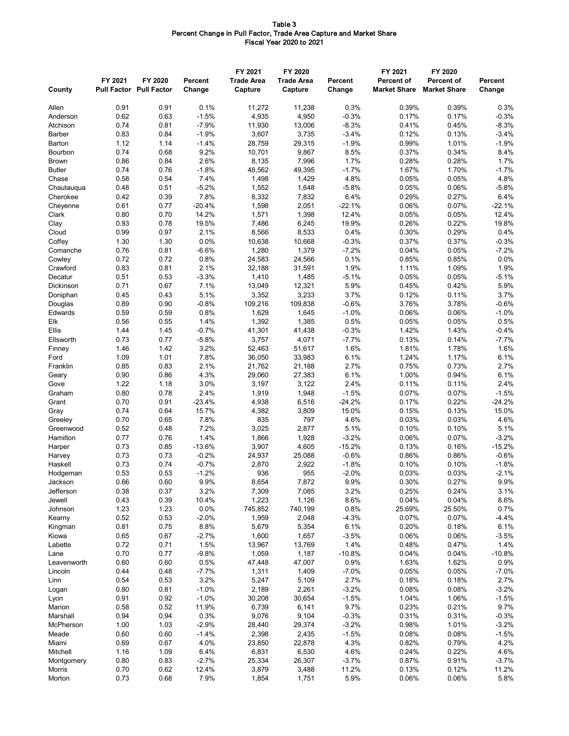#### Table 3 Percent Change in Pull Factor, Trade Area Capture and Market Share Fiscal Year 2020 to 2021

| County                    | FY 2021      | FY 2020<br><b>Pull Factor Pull Factor</b> | <b>Percent</b><br>Change | FY 2021<br><b>Trade Area</b><br>Capture | FY 2020<br><b>Trade Area</b><br>Capture | <b>Percent</b><br>Change | FY 2021<br><b>Percent of</b><br><b>Market Share</b> | FY 2020<br><b>Percent of</b><br><b>Market Share</b> | <b>Percent</b><br>Change |
|---------------------------|--------------|-------------------------------------------|--------------------------|-----------------------------------------|-----------------------------------------|--------------------------|-----------------------------------------------------|-----------------------------------------------------|--------------------------|
|                           |              |                                           |                          |                                         |                                         |                          |                                                     |                                                     |                          |
| Allen                     | 0.91         | 0.91                                      | 0.1%                     | 11,272                                  | 11,238                                  | 0.3%                     | 0.39%                                               | 0.39%                                               | 0.3%                     |
| Anderson                  | 0.62         | 0.63                                      | $-1.5%$                  | 4,935                                   | 4,950                                   | $-0.3%$                  | 0.17%                                               | 0.17%                                               | $-0.3%$                  |
| Atchison<br><b>Barber</b> | 0.74<br>0.83 | 0.81<br>0.84                              | $-7.9%$<br>$-1.9%$       | 11,930<br>3,607                         | 13,006<br>3,735                         | $-8.3%$<br>$-3.4%$       | 0.41%<br>0.12%                                      | 0.45%<br>0.13%                                      | $-8.3%$<br>$-3.4%$       |
| Barton                    | 1.12         | 1.14                                      | $-1.4%$                  | 28,759                                  | 29,315                                  | $-1.9%$                  | 0.99%                                               | 1.01%                                               | $-1.9%$                  |
| Bourbon                   | 0.74         | 0.68                                      | 9.2%                     | 10,701                                  | 9,867                                   | 8.5%                     | 0.37%                                               | 0.34%                                               | 8.4%                     |
| <b>Brown</b>              | 0.86         | 0.84                                      | 2.6%                     | 8,135                                   | 7,996                                   | 1.7%                     | 0.28%                                               | 0.28%                                               | 1.7%                     |
| <b>Butler</b>             | 0.74         | 0.76                                      | $-1.8%$                  | 48,562                                  | 49,395                                  | $-1.7%$                  | 1.67%                                               | 1.70%                                               | $-1.7%$                  |
| Chase                     | 0.58         | 0.54                                      | 7.4%                     | 1,498                                   | 1,429                                   | 4.8%                     | 0.05%                                               | 0.05%                                               | 4.8%                     |
| Chautauqua                | 0.48         | 0.51                                      | $-5.2%$                  | 1,552                                   | 1,648                                   | $-5.8%$                  | 0.05%                                               | 0.06%                                               | $-5.8%$                  |
| Cherokee                  | 0.42         | 0.39                                      | 7.8%                     | 8,332                                   | 7,832                                   | 6.4%                     | 0.29%                                               | 0.27%                                               | 6.4%                     |
| Cheyenne                  | 0.61<br>0.80 | 0.77<br>0.70                              | $-20.4%$<br>14.2%        | 1,598<br>1,571                          | 2,051                                   | $-22.1%$<br>12.4%        | 0.06%<br>0.05%                                      | 0.07%<br>0.05%                                      | $-22.1%$<br>12.4%        |
| Clark<br>Clay             | 0.93         | 0.78                                      | 19.5%                    | 7,486                                   | 1,398<br>6,245                          | 19.9%                    | 0.26%                                               | 0.22%                                               | 19.8%                    |
| Cloud                     | 0.99         | 0.97                                      | 2.1%                     | 8,566                                   | 8,533                                   | 0.4%                     | 0.30%                                               | 0.29%                                               | 0.4%                     |
| Coffey                    | 1.30         | 1.30                                      | 0.0%                     | 10,638                                  | 10,668                                  | $-0.3%$                  | 0.37%                                               | 0.37%                                               | $-0.3%$                  |
| Comanche                  | 0.76         | 0.81                                      | $-6.6%$                  | 1,280                                   | 1,379                                   | $-7.2%$                  | 0.04%                                               | 0.05%                                               | $-7.2%$                  |
| Cowley                    | 0.72         | 0.72                                      | 0.8%                     | 24,583                                  | 24,566                                  | 0.1%                     | 0.85%                                               | 0.85%                                               | 0.0%                     |
| Crawford                  | 0.83         | 0.81                                      | 2.1%                     | 32,188                                  | 31,591                                  | 1.9%                     | 1.11%                                               | 1.09%                                               | 1.9%                     |
| Decatur                   | 0.51         | 0.53                                      | $-3.3%$                  | 1,410                                   | 1,485                                   | $-5.1%$                  | 0.05%                                               | 0.05%                                               | $-5.1%$                  |
| Dickinson                 | 0.71         | 0.67                                      | 7.1%                     | 13,049                                  | 12,321                                  | 5.9%                     | 0.45%                                               | 0.42%                                               | 5.9%                     |
| Doniphan                  | 0.45         | 0.43                                      | 5.1%                     | 3,352                                   | 3,233                                   | 3.7%                     | 0.12%                                               | 0.11%                                               | 3.7%                     |
| Douglas<br>Edwards        | 0.89<br>0.59 | 0.90<br>0.59                              | $-0.8%$<br>0.8%          | 109,216<br>1,629                        | 109,838<br>1,645                        | $-0.6%$<br>$-1.0%$       | 3.76%<br>0.06%                                      | 3.78%<br>0.06%                                      | $-0.6%$<br>$-1.0%$       |
| Elk                       | 0.56         | 0.55                                      | 1.4%                     | 1,392                                   | 1,385                                   | 0.5%                     | 0.05%                                               | 0.05%                                               | 0.5%                     |
| Ellis                     | 1.44         | 1.45                                      | $-0.7%$                  | 41,301                                  | 41,438                                  | $-0.3%$                  | 1.42%                                               | 1.43%                                               | $-0.4%$                  |
| Ellsworth                 | 0.73         | 0.77                                      | $-5.8%$                  | 3,757                                   | 4,071                                   | $-7.7%$                  | 0.13%                                               | 0.14%                                               | $-7.7%$                  |
| Finney                    | 1.46         | 1.42                                      | 3.2%                     | 52,463                                  | 51,617                                  | 1.6%                     | 1.81%                                               | 1.78%                                               | 1.6%                     |
| Ford                      | 1.09         | 1.01                                      | 7.8%                     | 36,050                                  | 33,983                                  | 6.1%                     | 1.24%                                               | 1.17%                                               | 6.1%                     |
| Franklin                  | 0.85         | 0.83                                      | 2.1%                     | 21,762                                  | 21,188                                  | 2.7%                     | 0.75%                                               | 0.73%                                               | 2.7%                     |
| Geary                     | 0.90         | 0.86                                      | 4.3%                     | 29,060                                  | 27,383                                  | 6.1%                     | 1.00%                                               | 0.94%                                               | 6.1%                     |
| Gove                      | 1.22         | 1.18                                      | 3.0%                     | 3,197                                   | 3,122                                   | 2.4%                     | 0.11%                                               | 0.11%                                               | 2.4%                     |
| Graham                    | 0.80         | 0.78                                      | 2.4%                     | 1,919                                   | 1,948                                   | $-1.5%$                  | 0.07%                                               | 0.07%                                               | $-1.5%$                  |
| Grant<br>Gray             | 0.70<br>0.74 | 0.91<br>0.64                              | $-23.4%$<br>15.7%        | 4,938<br>4,382                          | 6,516<br>3,809                          | $-24.2%$<br>15.0%        | 0.17%<br>0.15%                                      | 0.22%<br>0.13%                                      | $-24.2%$<br>15.0%        |
| Greeley                   | 0.70         | 0.65                                      | 7.8%                     | 835                                     | 797                                     | 4.6%                     | 0.03%                                               | 0.03%                                               | 4.6%                     |
| Greenwood                 | 0.52         | 0.48                                      | 7.2%                     | 3,025                                   | 2,877                                   | 5.1%                     | 0.10%                                               | 0.10%                                               | 5.1%                     |
| Hamilton                  | 0.77         | 0.76                                      | 1.4%                     | 1,866                                   | 1,928                                   | $-3.2%$                  | 0.06%                                               | 0.07%                                               | $-3.2%$                  |
| Harper                    | 0.73         | 0.85                                      | $-13.6%$                 | 3,907                                   | 4,605                                   | $-15.2%$                 | 0.13%                                               | 0.16%                                               | $-15.2%$                 |
| Harvey                    | 0.73         | 0.73                                      | $-0.2%$                  | 24,937                                  | 25,088                                  | $-0.6%$                  | 0.86%                                               | 0.86%                                               | $-0.6%$                  |
| Haskell                   | 0.73         | 0.74                                      | $-0.7%$                  | 2,870                                   | 2,922                                   | $-1.8%$                  | 0.10%                                               | 0.10%                                               | $-1.8%$                  |
| Hodgeman                  | 0.53         | 0.53                                      | $-1.2%$                  | 936                                     | 955                                     | $-2.0%$                  | 0.03%                                               | 0.03%                                               | $-2.1%$                  |
| Jackson                   | 0.66         | 0.60                                      | 9.9%                     | 8,654                                   | 7,872                                   | 9.9%                     | 0.30%                                               | 0.27%                                               | 9.9%                     |
| Jefferson<br>Jewell       | 0.38<br>0.43 | 0.37<br>0.39                              | 3.2%<br>10.4%            | 7,309<br>1,223                          | 7,085<br>1,126                          | 3.2%<br>8.6%             | 0.25%<br>0.04%                                      | 0.24%<br>0.04%                                      | 3.1%<br>8.6%             |
| Johnson                   | 1.23         | 1.23                                      | 0.0%                     | 745,852                                 | 740,199                                 | 0.8%                     | 25.69%                                              | 25.50%                                              | 0.7%                     |
| Kearny                    | 0.52         | 0.53                                      | $-2.0%$                  | 1,959                                   | 2,048                                   | $-4.3%$                  | 0.07%                                               | 0.07%                                               | $-4.4%$                  |
| Kingman                   | 0.81         | 0.75                                      | 8.8%                     | 5,679                                   | 5,354                                   | 6.1%                     | 0.20%                                               | 0.18%                                               | 6.1%                     |
| Kiowa                     | 0.65         | 0.67                                      | $-2.7%$                  | 1,600                                   | 1,657                                   | $-3.5%$                  | 0.06%                                               | 0.06%                                               | $-3.5%$                  |
| Labette                   | 0.72         | 0.71                                      | 1.5%                     | 13,967                                  | 13,769                                  | 1.4%                     | 0.48%                                               | 0.47%                                               | 1.4%                     |
| Lane                      | 0.70         | 0.77                                      | $-9.8%$                  | 1,059                                   | 1,187                                   | $-10.8%$                 | 0.04%                                               | 0.04%                                               | $-10.8%$                 |
| Leavenworth               | 0.60         | 0.60                                      | 0.5%                     | 47,448                                  | 47,007                                  | 0.9%                     | 1.63%                                               | 1.62%                                               | 0.9%                     |
| Lincoln                   | 0.44<br>0.54 | 0.48                                      | $-7.7%$                  | 1,311                                   | 1,409                                   | $-7.0%$                  | 0.05%                                               | 0.05%                                               | $-7.0%$<br>2.7%          |
| Linn<br>Logan             | 0.80         | 0.53<br>0.81                              | 3.2%<br>$-1.0%$          | 5,247<br>2,189                          | 5,109<br>2,261                          | 2.7%<br>$-3.2%$          | 0.18%<br>0.08%                                      | 0.18%<br>0.08%                                      | $-3.2%$                  |
| Lyon                      | 0.91         | 0.92                                      | $-1.0%$                  | 30,208                                  | 30,654                                  | $-1.5%$                  | 1.04%                                               | 1.06%                                               | $-1.5%$                  |
| Marion                    | 0.58         | 0.52                                      | 11.9%                    | 6,739                                   | 6,141                                   | 9.7%                     | 0.23%                                               | 0.21%                                               | 9.7%                     |
| Marshall                  | 0.94         | 0.94                                      | 0.3%                     | 9,076                                   | 9,104                                   | $-0.3%$                  | 0.31%                                               | 0.31%                                               | $-0.3%$                  |
| McPherson                 | 1.00         | 1.03                                      | $-2.9%$                  | 28,440                                  | 29,374                                  | $-3.2%$                  | 0.98%                                               | 1.01%                                               | $-3.2%$                  |
| Meade                     | 0.60         | 0.60                                      | $-1.4%$                  | 2,398                                   | 2,435                                   | $-1.5%$                  | 0.08%                                               | 0.08%                                               | $-1.5%$                  |
| Miami                     | 0.69         | 0.67                                      | 4.0%                     | 23,850                                  | 22,878                                  | 4.3%                     | 0.82%                                               | 0.79%                                               | 4.2%                     |
| Mitchell                  | 1.16         | 1.09                                      | 6.4%                     | 6,831                                   | 6,530                                   | 4.6%                     | 0.24%                                               | 0.22%                                               | 4.6%                     |
| Montgomery                | 0.80         | 0.83                                      | $-2.7%$                  | 25,334                                  | 26,307                                  | $-3.7%$                  | 0.87%                                               | 0.91%                                               | $-3.7%$                  |
| Morris<br>Morton          | 0.70<br>0.73 | 0.62<br>0.68                              | 12.4%<br>7.9%            | 3,879<br>1,854                          | 3,488<br>1,751                          | 11.2%<br>5.9%            | 0.13%<br>0.06%                                      | 0.12%<br>0.06%                                      | 11.2%<br>5.8%            |
|                           |              |                                           |                          |                                         |                                         |                          |                                                     |                                                     |                          |